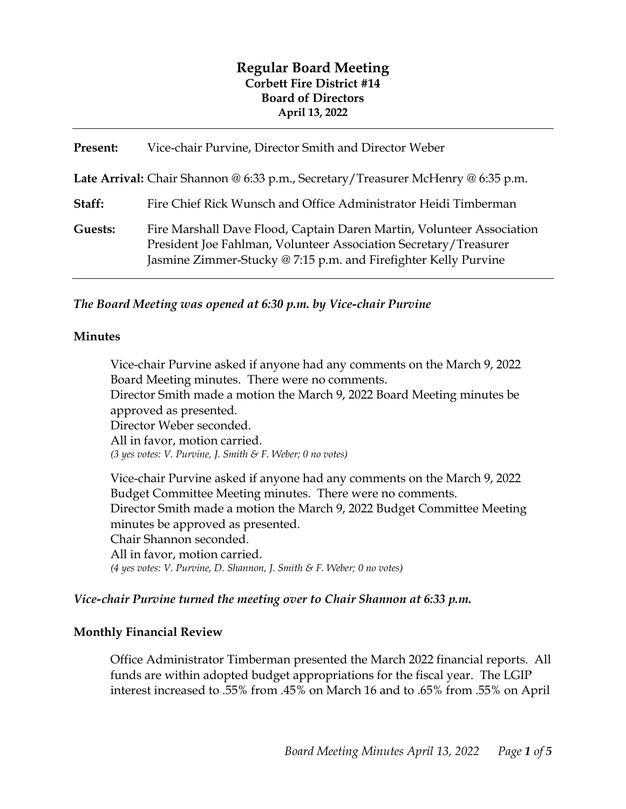# **Regular Board Meeting Corbett Fire District #14 Board of Directors April 13, 2022**

| Present: | Vice-chair Purvine, Director Smith and Director Weber                                                                                                                                                        |
|----------|--------------------------------------------------------------------------------------------------------------------------------------------------------------------------------------------------------------|
|          | Late Arrival: Chair Shannon @ 6:33 p.m., Secretary/Treasurer McHenry @ 6:35 p.m.                                                                                                                             |
| Staff:   | Fire Chief Rick Wunsch and Office Administrator Heidi Timberman                                                                                                                                              |
| Guests:  | Fire Marshall Dave Flood, Captain Daren Martin, Volunteer Association<br>President Joe Fahlman, Volunteer Association Secretary/Treasurer<br>Jasmine Zimmer-Stucky @ 7:15 p.m. and Firefighter Kelly Purvine |

*The Board Meeting was opened at 6:30 p.m. by Vice-chair Purvine*

#### **Minutes**

Vice-chair Purvine asked if anyone had any comments on the March 9, 2022 Board Meeting minutes. There were no comments. Director Smith made a motion the March 9, 2022 Board Meeting minutes be approved as presented. Director Weber seconded. All in favor, motion carried. *(3 yes votes: V. Purvine, J. Smith & F. Weber; 0 no votes)* 

Vice-chair Purvine asked if anyone had any comments on the March 9, 2022 Budget Committee Meeting minutes. There were no comments. Director Smith made a motion the March 9, 2022 Budget Committee Meeting minutes be approved as presented. Chair Shannon seconded. All in favor, motion carried. *(4 yes votes: V. Purvine, D. Shannon, J. Smith & F. Weber; 0 no votes)* 

#### *Vice-chair Purvine turned the meeting over to Chair Shannon at 6:33 p.m.*

### **Monthly Financial Review**

Office Administrator Timberman presented the March 2022 financial reports. All funds are within adopted budget appropriations for the fiscal year. The LGIP interest increased to .55% from .45% on March 16 and to .65% from .55% on April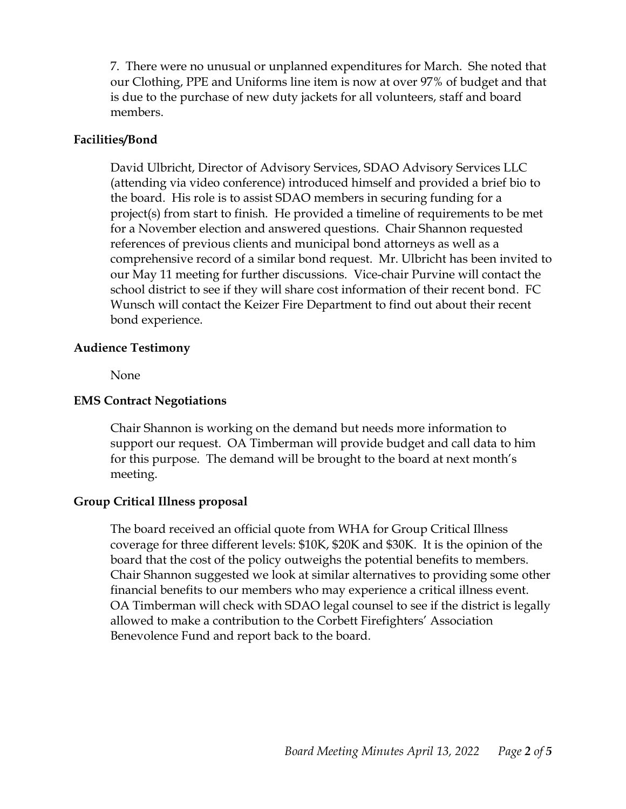7. There were no unusual or unplanned expenditures for March. She noted that our Clothing, PPE and Uniforms line item is now at over 97% of budget and that is due to the purchase of new duty jackets for all volunteers, staff and board members.

### **Facilities/Bond**

David Ulbricht, Director of Advisory Services, SDAO Advisory Services LLC (attending via video conference) introduced himself and provided a brief bio to the board. His role is to assist SDAO members in securing funding for a project(s) from start to finish. He provided a timeline of requirements to be met for a November election and answered questions. Chair Shannon requested references of previous clients and municipal bond attorneys as well as a comprehensive record of a similar bond request. Mr. Ulbricht has been invited to our May 11 meeting for further discussions. Vice-chair Purvine will contact the school district to see if they will share cost information of their recent bond. FC Wunsch will contact the Keizer Fire Department to find out about their recent bond experience.

#### **Audience Testimony**

None

### **EMS Contract Negotiations**

Chair Shannon is working on the demand but needs more information to support our request. OA Timberman will provide budget and call data to him for this purpose. The demand will be brought to the board at next month's meeting.

### **Group Critical Illness proposal**

The board received an official quote from WHA for Group Critical Illness coverage for three different levels: \$10K, \$20K and \$30K. It is the opinion of the board that the cost of the policy outweighs the potential benefits to members. Chair Shannon suggested we look at similar alternatives to providing some other financial benefits to our members who may experience a critical illness event. OA Timberman will check with SDAO legal counsel to see if the district is legally allowed to make a contribution to the Corbett Firefighters' Association Benevolence Fund and report back to the board.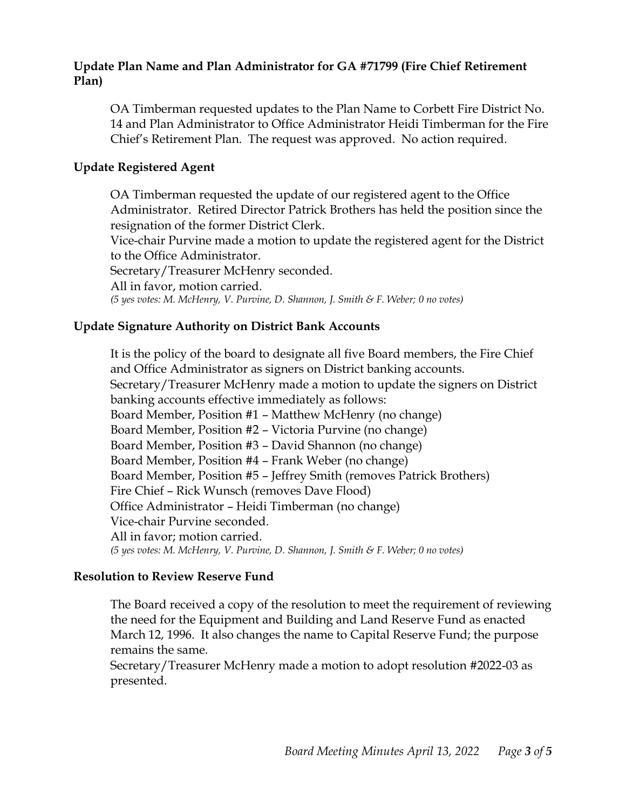### **Update Plan Name and Plan Administrator for GA #71799 (Fire Chief Retirement Plan)**

OA Timberman requested updates to the Plan Name to Corbett Fire District No. 14 and Plan Administrator to Office Administrator Heidi Timberman for the Fire Chief's Retirement Plan. The request was approved. No action required.

### **Update Registered Agent**

OA Timberman requested the update of our registered agent to the Office Administrator. Retired Director Patrick Brothers has held the position since the resignation of the former District Clerk.

Vice-chair Purvine made a motion to update the registered agent for the District to the Office Administrator.

Secretary/Treasurer McHenry seconded.

All in favor, motion carried.

*(5 yes votes: M. McHenry, V. Purvine, D. Shannon, J. Smith & F. Weber; 0 no votes)* 

## **Update Signature Authority on District Bank Accounts**

It is the policy of the board to designate all five Board members, the Fire Chief and Office Administrator as signers on District banking accounts. Secretary/Treasurer McHenry made a motion to update the signers on District banking accounts effective immediately as follows: Board Member, Position #1 – Matthew McHenry (no change) Board Member, Position #2 – Victoria Purvine (no change) Board Member, Position #3 – David Shannon (no change) Board Member, Position #4 – Frank Weber (no change) Board Member, Position #5 – Jeffrey Smith (removes Patrick Brothers) Fire Chief – Rick Wunsch (removes Dave Flood) Office Administrator – Heidi Timberman (no change) Vice-chair Purvine seconded. All in favor; motion carried. *(5 yes votes: M. McHenry, V. Purvine, D. Shannon, J. Smith & F. Weber; 0 no votes)* 

### **Resolution to Review Reserve Fund**

The Board received a copy of the resolution to meet the requirement of reviewing the need for the Equipment and Building and Land Reserve Fund as enacted March 12, 1996. It also changes the name to Capital Reserve Fund; the purpose remains the same.

Secretary/Treasurer McHenry made a motion to adopt resolution #2022-03 as presented.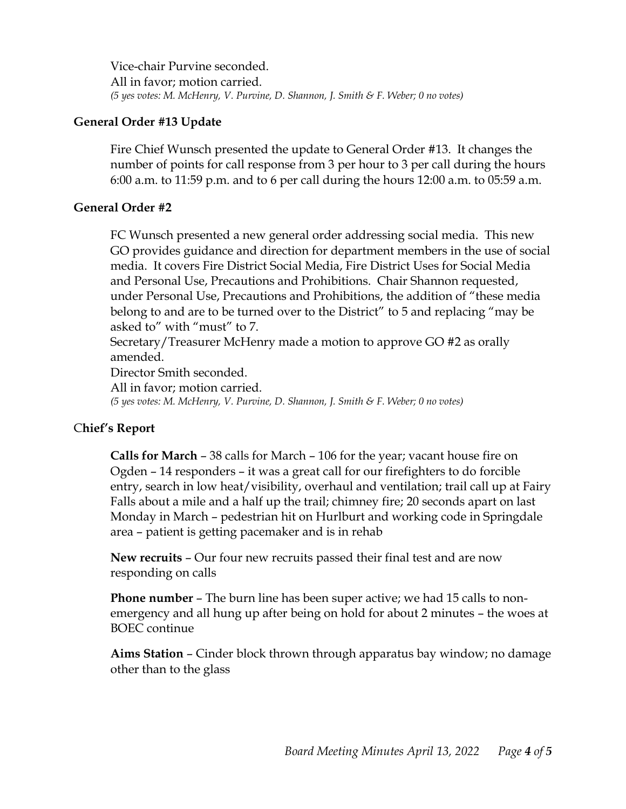Vice-chair Purvine seconded. All in favor; motion carried. *(5 yes votes: M. McHenry, V. Purvine, D. Shannon, J. Smith & F. Weber; 0 no votes)* 

### **General Order #13 Update**

Fire Chief Wunsch presented the update to General Order #13. It changes the number of points for call response from 3 per hour to 3 per call during the hours 6:00 a.m. to 11:59 p.m. and to 6 per call during the hours 12:00 a.m. to 05:59 a.m.

### **General Order #2**

FC Wunsch presented a new general order addressing social media. This new GO provides guidance and direction for department members in the use of social media. It covers Fire District Social Media, Fire District Uses for Social Media and Personal Use, Precautions and Prohibitions. Chair Shannon requested, under Personal Use, Precautions and Prohibitions, the addition of "these media belong to and are to be turned over to the District" to 5 and replacing "may be asked to" with "must" to 7.

Secretary/Treasurer McHenry made a motion to approve GO #2 as orally amended.

Director Smith seconded.

All in favor; motion carried.

*(5 yes votes: M. McHenry, V. Purvine, D. Shannon, J. Smith & F. Weber; 0 no votes)* 

## C**hief's Report**

**Calls for March** – 38 calls for March – 106 for the year; vacant house fire on Ogden – 14 responders – it was a great call for our firefighters to do forcible entry, search in low heat/visibility, overhaul and ventilation; trail call up at Fairy Falls about a mile and a half up the trail; chimney fire; 20 seconds apart on last Monday in March – pedestrian hit on Hurlburt and working code in Springdale area – patient is getting pacemaker and is in rehab

**New recruits** – Our four new recruits passed their final test and are now responding on calls

**Phone number** – The burn line has been super active; we had 15 calls to nonemergency and all hung up after being on hold for about 2 minutes – the woes at BOEC continue

**Aims Station** – Cinder block thrown through apparatus bay window; no damage other than to the glass